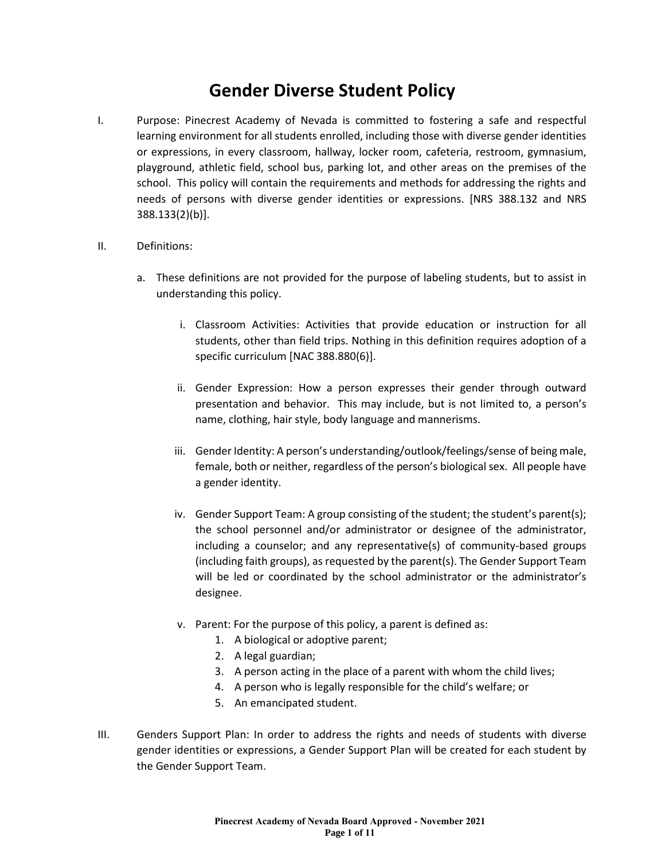## **Gender Diverse Student Policy**

- I. Purpose: Pinecrest Academy of Nevada is committed to fostering a safe and respectful learning environment for all students enrolled, including those with diverse gender identities or expressions, in every classroom, hallway, locker room, cafeteria, restroom, gymnasium, playground, athletic field, school bus, parking lot, and other areas on the premises of the school. This policy will contain the requirements and methods for addressing the rights and needs of persons with diverse gender identities or expressions. [NRS 388.132 and NRS 388.133(2)(b)].
- II. Definitions:
	- a. These definitions are not provided for the purpose of labeling students, but to assist in understanding this policy.
		- i. Classroom Activities: Activities that provide education or instruction for all students, other than field trips. Nothing in this definition requires adoption of a specific curriculum [NAC 388.880(6)].
		- ii. Gender Expression: How a person expresses their gender through outward presentation and behavior. This may include, but is not limited to, a person's name, clothing, hair style, body language and mannerisms.
		- iii. Gender Identity: A person's understanding/outlook/feelings/sense of being male, female, both or neither, regardless of the person's biological sex. All people have a gender identity.
		- iv. Gender Support Team: A group consisting of the student; the student's parent(s); the school personnel and/or administrator or designee of the administrator, including a counselor; and any representative(s) of community-based groups (including faith groups), as requested by the parent(s). The Gender Support Team will be led or coordinated by the school administrator or the administrator's designee.
		- v. Parent: For the purpose of this policy, a parent is defined as:
			- 1. A biological or adoptive parent;
			- 2. A legal guardian;
			- 3. A person acting in the place of a parent with whom the child lives;
			- 4. A person who is legally responsible for the child's welfare; or
			- 5. An emancipated student.
- III. Genders Support Plan: In order to address the rights and needs of students with diverse gender identities or expressions, a Gender Support Plan will be created for each student by the Gender Support Team.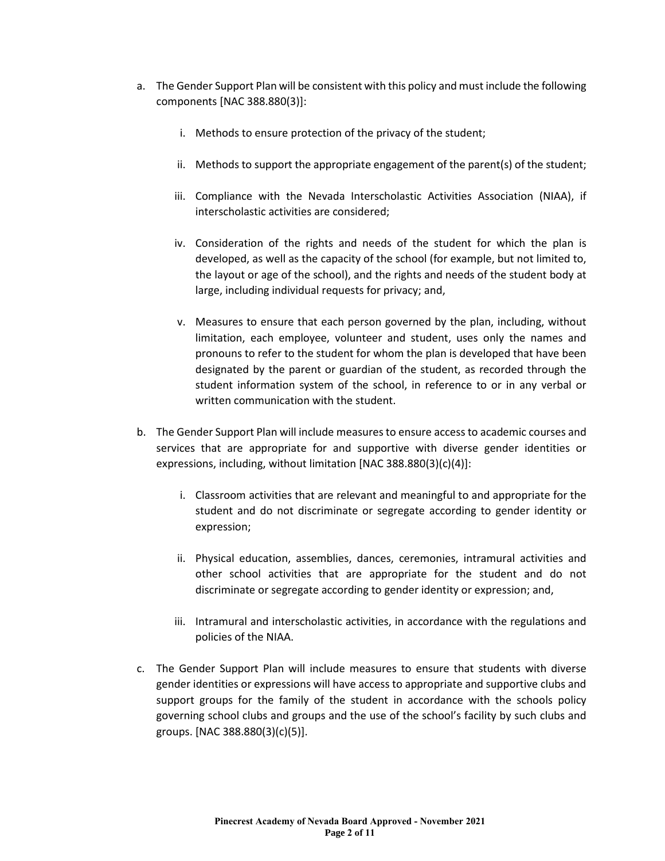- a. The Gender Support Plan will be consistent with this policy and must include the following components [NAC 388.880(3)]:
	- i. Methods to ensure protection of the privacy of the student;
	- ii. Methods to support the appropriate engagement of the parent(s) of the student;
	- iii. Compliance with the Nevada Interscholastic Activities Association (NIAA), if interscholastic activities are considered;
	- iv. Consideration of the rights and needs of the student for which the plan is developed, as well as the capacity of the school (for example, but not limited to, the layout or age of the school), and the rights and needs of the student body at large, including individual requests for privacy; and,
	- v. Measures to ensure that each person governed by the plan, including, without limitation, each employee, volunteer and student, uses only the names and pronouns to refer to the student for whom the plan is developed that have been designated by the parent or guardian of the student, as recorded through the student information system of the school, in reference to or in any verbal or written communication with the student.
- b. The Gender Support Plan will include measures to ensure access to academic courses and services that are appropriate for and supportive with diverse gender identities or expressions, including, without limitation [NAC 388.880(3)(c)(4)]:
	- i. Classroom activities that are relevant and meaningful to and appropriate for the student and do not discriminate or segregate according to gender identity or expression;
	- ii. Physical education, assemblies, dances, ceremonies, intramural activities and other school activities that are appropriate for the student and do not discriminate or segregate according to gender identity or expression; and,
	- iii. Intramural and interscholastic activities, in accordance with the regulations and policies of the NIAA.
- c. The Gender Support Plan will include measures to ensure that students with diverse gender identities or expressions will have access to appropriate and supportive clubs and support groups for the family of the student in accordance with the schools policy governing school clubs and groups and the use of the school's facility by such clubs and groups. [NAC 388.880(3)(c)(5)].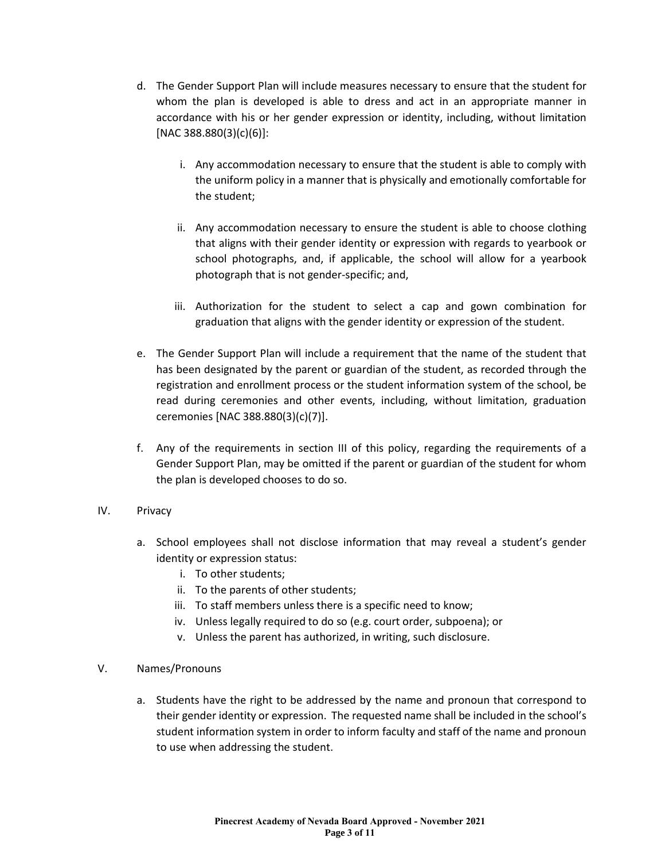- d. The Gender Support Plan will include measures necessary to ensure that the student for whom the plan is developed is able to dress and act in an appropriate manner in accordance with his or her gender expression or identity, including, without limitation [NAC 388.880(3)(c)(6)]:
	- i. Any accommodation necessary to ensure that the student is able to comply with the uniform policy in a manner that is physically and emotionally comfortable for the student;
	- ii. Any accommodation necessary to ensure the student is able to choose clothing that aligns with their gender identity or expression with regards to yearbook or school photographs, and, if applicable, the school will allow for a yearbook photograph that is not gender-specific; and,
	- iii. Authorization for the student to select a cap and gown combination for graduation that aligns with the gender identity or expression of the student.
- e. The Gender Support Plan will include a requirement that the name of the student that has been designated by the parent or guardian of the student, as recorded through the registration and enrollment process or the student information system of the school, be read during ceremonies and other events, including, without limitation, graduation ceremonies [NAC 388.880(3)(c)(7)].
- f. Any of the requirements in section III of this policy, regarding the requirements of a Gender Support Plan, may be omitted if the parent or guardian of the student for whom the plan is developed chooses to do so.
- IV. Privacy
	- a. School employees shall not disclose information that may reveal a student's gender identity or expression status:
		- i. To other students;
		- ii. To the parents of other students;
		- iii. To staff members unless there is a specific need to know;
		- iv. Unless legally required to do so (e.g. court order, subpoena); or
		- v. Unless the parent has authorized, in writing, such disclosure.
- V. Names/Pronouns
	- a. Students have the right to be addressed by the name and pronoun that correspond to their gender identity or expression. The requested name shall be included in the school's student information system in order to inform faculty and staff of the name and pronoun to use when addressing the student.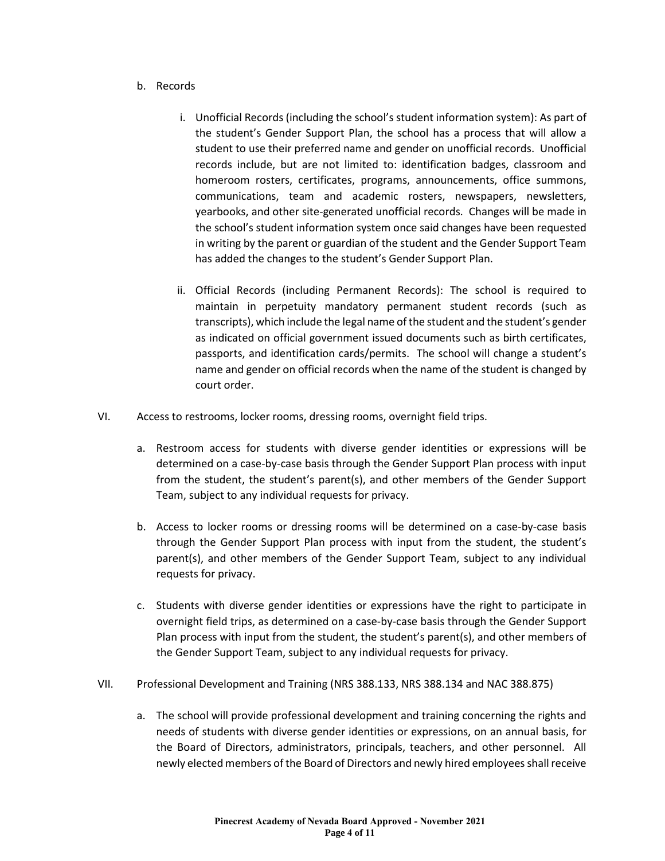- b. Records
	- i. Unofficial Records (including the school's student information system): As part of the student's Gender Support Plan, the school has a process that will allow a student to use their preferred name and gender on unofficial records. Unofficial records include, but are not limited to: identification badges, classroom and homeroom rosters, certificates, programs, announcements, office summons, communications, team and academic rosters, newspapers, newsletters, yearbooks, and other site-generated unofficial records. Changes will be made in the school's student information system once said changes have been requested in writing by the parent or guardian of the student and the Gender Support Team has added the changes to the student's Gender Support Plan.
	- ii. Official Records (including Permanent Records): The school is required to maintain in perpetuity mandatory permanent student records (such as transcripts), which include the legal name of the student and the student's gender as indicated on official government issued documents such as birth certificates, passports, and identification cards/permits. The school will change a student's name and gender on official records when the name of the student is changed by court order.
- VI. Access to restrooms, locker rooms, dressing rooms, overnight field trips.
	- a. Restroom access for students with diverse gender identities or expressions will be determined on a case-by-case basis through the Gender Support Plan process with input from the student, the student's parent(s), and other members of the Gender Support Team, subject to any individual requests for privacy.
	- b. Access to locker rooms or dressing rooms will be determined on a case-by-case basis through the Gender Support Plan process with input from the student, the student's parent(s), and other members of the Gender Support Team, subject to any individual requests for privacy.
	- c. Students with diverse gender identities or expressions have the right to participate in overnight field trips, as determined on a case-by-case basis through the Gender Support Plan process with input from the student, the student's parent(s), and other members of the Gender Support Team, subject to any individual requests for privacy.
- VII. Professional Development and Training (NRS 388.133, NRS 388.134 and NAC 388.875)
	- a. The school will provide professional development and training concerning the rights and needs of students with diverse gender identities or expressions, on an annual basis, for the Board of Directors, administrators, principals, teachers, and other personnel. All newly elected members of the Board of Directors and newly hired employees shall receive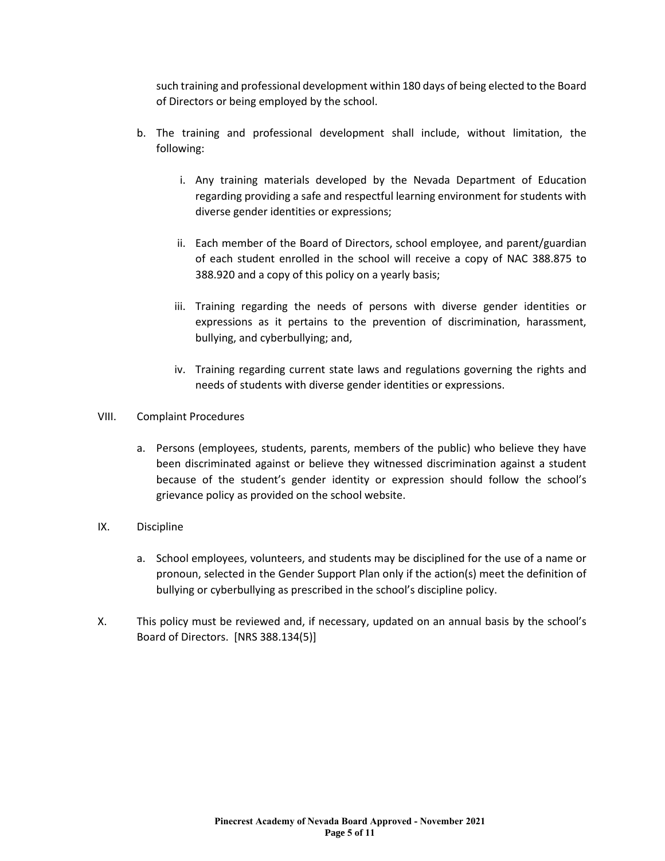such training and professional development within 180 days of being elected to the Board of Directors or being employed by the school.

- b. The training and professional development shall include, without limitation, the following:
	- i. Any training materials developed by the Nevada Department of Education regarding providing a safe and respectful learning environment for students with diverse gender identities or expressions;
	- ii. Each member of the Board of Directors, school employee, and parent/guardian of each student enrolled in the school will receive a copy of NAC 388.875 to 388.920 and a copy of this policy on a yearly basis;
	- iii. Training regarding the needs of persons with diverse gender identities or expressions as it pertains to the prevention of discrimination, harassment, bullying, and cyberbullying; and,
	- iv. Training regarding current state laws and regulations governing the rights and needs of students with diverse gender identities or expressions.
- VIII. Complaint Procedures
	- a. Persons (employees, students, parents, members of the public) who believe they have been discriminated against or believe they witnessed discrimination against a student because of the student's gender identity or expression should follow the school's grievance policy as provided on the school website.
- IX. Discipline
	- a. School employees, volunteers, and students may be disciplined for the use of a name or pronoun, selected in the Gender Support Plan only if the action(s) meet the definition of bullying or cyberbullying as prescribed in the school's discipline policy.
- X. This policy must be reviewed and, if necessary, updated on an annual basis by the school's Board of Directors. [NRS 388.134(5)]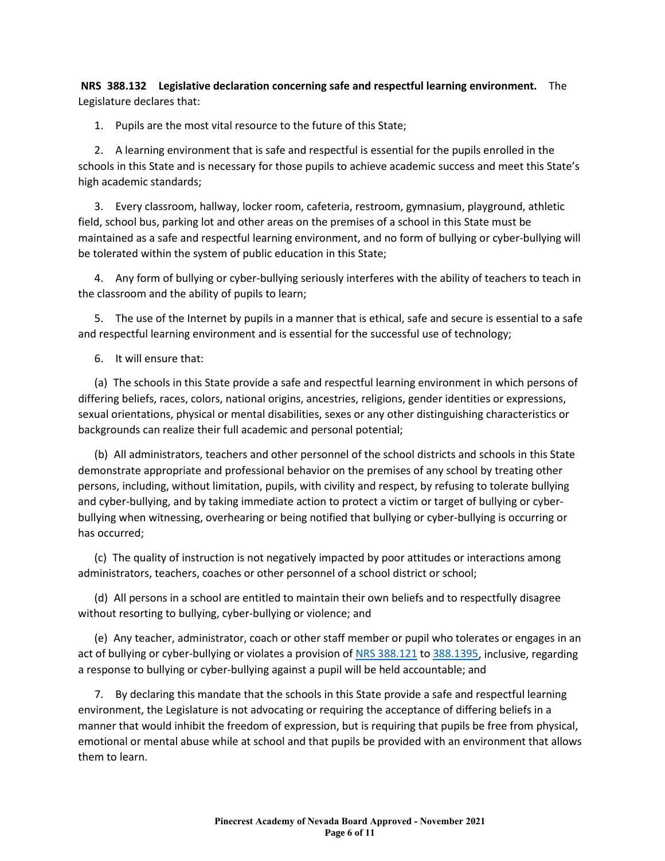**NRS 388.132 Legislative declaration concerning safe and respectful learning environment.** The Legislature declares that:

1. Pupils are the most vital resource to the future of this State;

2. A learning environment that is safe and respectful is essential for the pupils enrolled in the schools in this State and is necessary for those pupils to achieve academic success and meet this State's high academic standards;

3. Every classroom, hallway, locker room, cafeteria, restroom, gymnasium, playground, athletic field, school bus, parking lot and other areas on the premises of a school in this State must be maintained as a safe and respectful learning environment, and no form of bullying or cyber-bullying will be tolerated within the system of public education in this State;

4. Any form of bullying or cyber-bullying seriously interferes with the ability of teachers to teach in the classroom and the ability of pupils to learn;

5. The use of the Internet by pupils in a manner that is ethical, safe and secure is essential to a safe and respectful learning environment and is essential for the successful use of technology;

6. It will ensure that:

(a) The schools in this State provide a safe and respectful learning environment in which persons of differing beliefs, races, colors, national origins, ancestries, religions, gender identities or expressions, sexual orientations, physical or mental disabilities, sexes or any other distinguishing characteristics or backgrounds can realize their full academic and personal potential;

(b) All administrators, teachers and other personnel of the school districts and schools in this State demonstrate appropriate and professional behavior on the premises of any school by treating other persons, including, without limitation, pupils, with civility and respect, by refusing to tolerate bullying and cyber-bullying, and by taking immediate action to protect a victim or target of bullying or cyberbullying when witnessing, overhearing or being notified that bullying or cyber-bullying is occurring or has occurred;

(c) The quality of instruction is not negatively impacted by poor attitudes or interactions among administrators, teachers, coaches or other personnel of a school district or school;

(d) All persons in a school are entitled to maintain their own beliefs and to respectfully disagree without resorting to bullying, cyber-bullying or violence; and

(e) Any teacher, administrator, coach or other staff member or pupil who tolerates or engages in an act of bullying or cyber-bullying or violates a provision of [NRS 388.121](https://www.leg.state.nv.us/NRS/NRS-388.html#NRS388Sec121) to [388.1395,](https://www.leg.state.nv.us/NRS/NRS-388.html#NRS388Sec1395) inclusive, regarding a response to bullying or cyber-bullying against a pupil will be held accountable; and

7. By declaring this mandate that the schools in this State provide a safe and respectful learning environment, the Legislature is not advocating or requiring the acceptance of differing beliefs in a manner that would inhibit the freedom of expression, but is requiring that pupils be free from physical, emotional or mental abuse while at school and that pupils be provided with an environment that allows them to learn.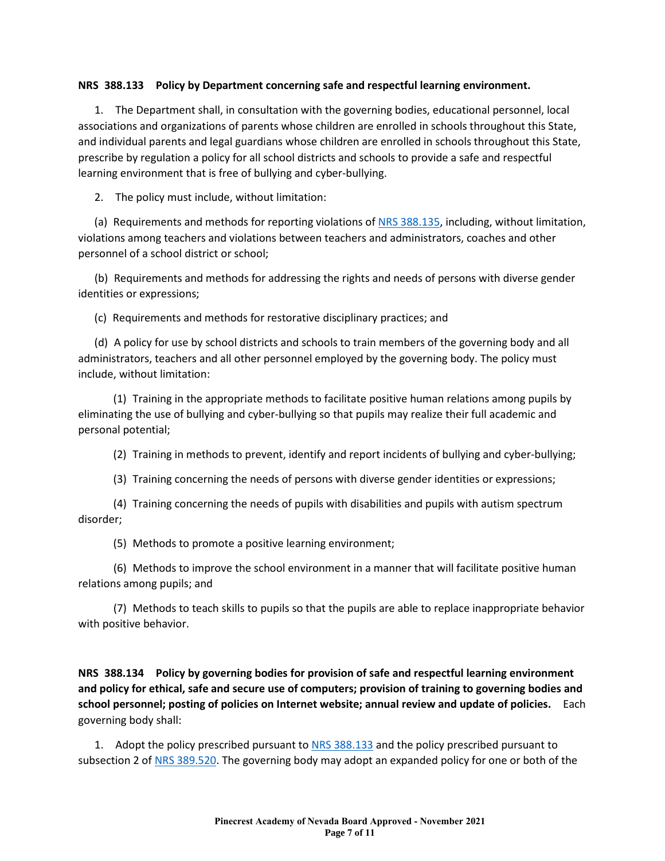## **NRS 388.133 Policy by Department concerning safe and respectful learning environment.**

1. The Department shall, in consultation with the governing bodies, educational personnel, local associations and organizations of parents whose children are enrolled in schools throughout this State, and individual parents and legal guardians whose children are enrolled in schools throughout this State, prescribe by regulation a policy for all school districts and schools to provide a safe and respectful learning environment that is free of bullying and cyber-bullying.

2. The policy must include, without limitation:

(a) Requirements and methods for reporting violations of [NRS 388.135,](https://www.leg.state.nv.us/NRS/NRS-388.html#NRS388Sec135) including, without limitation, violations among teachers and violations between teachers and administrators, coaches and other personnel of a school district or school;

(b) Requirements and methods for addressing the rights and needs of persons with diverse gender identities or expressions;

(c) Requirements and methods for restorative disciplinary practices; and

(d) A policy for use by school districts and schools to train members of the governing body and all administrators, teachers and all other personnel employed by the governing body. The policy must include, without limitation:

(1) Training in the appropriate methods to facilitate positive human relations among pupils by eliminating the use of bullying and cyber-bullying so that pupils may realize their full academic and personal potential;

(2) Training in methods to prevent, identify and report incidents of bullying and cyber-bullying;

(3) Training concerning the needs of persons with diverse gender identities or expressions;

(4) Training concerning the needs of pupils with disabilities and pupils with autism spectrum disorder;

(5) Methods to promote a positive learning environment;

(6) Methods to improve the school environment in a manner that will facilitate positive human relations among pupils; and

(7) Methods to teach skills to pupils so that the pupils are able to replace inappropriate behavior with positive behavior.

**NRS 388.134 Policy by governing bodies for provision of safe and respectful learning environment and policy for ethical, safe and secure use of computers; provision of training to governing bodies and school personnel; posting of policies on Internet website; annual review and update of policies.** Each governing body shall:

1. Adopt the policy prescribed pursuant to [NRS 388.133](https://www.leg.state.nv.us/NRS/NRS-388.html#NRS388Sec133) and the policy prescribed pursuant to subsection 2 of [NRS 389.520.](https://www.leg.state.nv.us/NRS/NRS-389.html#NRS389Sec520) The governing body may adopt an expanded policy for one or both of the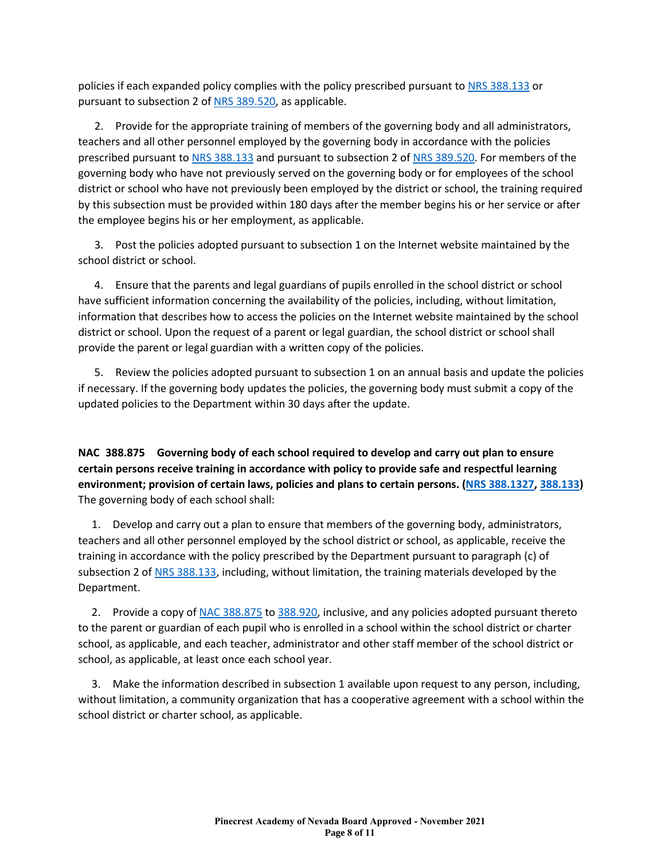policies if each expanded policy complies with the policy prescribed pursuant to [NRS 388.133](https://www.leg.state.nv.us/NRS/NRS-388.html#NRS388Sec133) or pursuant to subsection 2 of [NRS 389.520,](https://www.leg.state.nv.us/NRS/NRS-389.html#NRS389Sec520) as applicable.

2. Provide for the appropriate training of members of the governing body and all administrators, teachers and all other personnel employed by the governing body in accordance with the policies prescribed pursuant to [NRS 388.133](https://www.leg.state.nv.us/NRS/NRS-388.html#NRS388Sec133) and pursuant to subsection 2 of [NRS 389.520.](https://www.leg.state.nv.us/NRS/NRS-389.html#NRS389Sec520) For members of the governing body who have not previously served on the governing body or for employees of the school district or school who have not previously been employed by the district or school, the training required by this subsection must be provided within 180 days after the member begins his or her service or after the employee begins his or her employment, as applicable.

3. Post the policies adopted pursuant to subsection 1 on the Internet website maintained by the school district or school.

4. Ensure that the parents and legal guardians of pupils enrolled in the school district or school have sufficient information concerning the availability of the policies, including, without limitation, information that describes how to access the policies on the Internet website maintained by the school district or school. Upon the request of a parent or legal guardian, the school district or school shall provide the parent or legal guardian with a written copy of the policies.

5. Review the policies adopted pursuant to subsection 1 on an annual basis and update the policies if necessary. If the governing body updates the policies, the governing body must submit a copy of the updated policies to the Department within 30 days after the update.

**NAC 388.875 Governing body of each school required to develop and carry out plan to ensure certain persons receive training in accordance with policy to provide safe and respectful learning environment; provision of certain laws, policies and plans to certain persons. [\(NRS 388.1327,](https://www.leg.state.nv.us/NRS/NRS-388.html#NRS388Sec1327) [388.133\)](https://www.leg.state.nv.us/NRS/NRS-388.html#NRS388Sec133)**  The governing body of each school shall:

1. Develop and carry out a plan to ensure that members of the governing body, administrators, teachers and all other personnel employed by the school district or school, as applicable, receive the training in accordance with the policy prescribed by the Department pursuant to paragraph (c) of subsection 2 of [NRS 388.133,](https://www.leg.state.nv.us/NRS/NRS-388.html#NRS388Sec133) including, without limitation, the training materials developed by the Department.

2. Provide a copy of [NAC 388.875](https://www.leg.state.nv.us/nac/NAC-388.html#NAC388Sec875) to [388.920,](https://www.leg.state.nv.us/nac/NAC-388.html#NAC388Sec920) inclusive, and any policies adopted pursuant thereto to the parent or guardian of each pupil who is enrolled in a school within the school district or charter school, as applicable, and each teacher, administrator and other staff member of the school district or school, as applicable, at least once each school year.

3. Make the information described in subsection 1 available upon request to any person, including, without limitation, a community organization that has a cooperative agreement with a school within the school district or charter school, as applicable.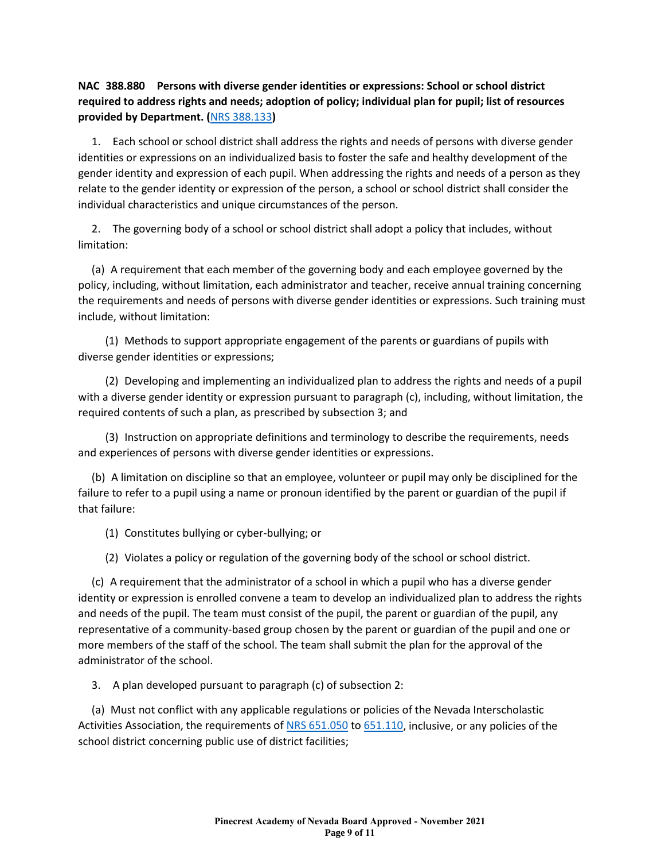## **NAC 388.880 Persons with diverse gender identities or expressions: School or school district required to address rights and needs; adoption of policy; individual plan for pupil; list of resources provided by Department. (**[NRS 388.133](https://www.leg.state.nv.us/NRS/NRS-388.html#NRS388Sec133)**)**

1. Each school or school district shall address the rights and needs of persons with diverse gender identities or expressions on an individualized basis to foster the safe and healthy development of the gender identity and expression of each pupil. When addressing the rights and needs of a person as they relate to the gender identity or expression of the person, a school or school district shall consider the individual characteristics and unique circumstances of the person.

2. The governing body of a school or school district shall adopt a policy that includes, without limitation:

(a) A requirement that each member of the governing body and each employee governed by the policy, including, without limitation, each administrator and teacher, receive annual training concerning the requirements and needs of persons with diverse gender identities or expressions. Such training must include, without limitation:

(1) Methods to support appropriate engagement of the parents or guardians of pupils with diverse gender identities or expressions;

(2) Developing and implementing an individualized plan to address the rights and needs of a pupil with a diverse gender identity or expression pursuant to paragraph (c), including, without limitation, the required contents of such a plan, as prescribed by subsection 3; and

(3) Instruction on appropriate definitions and terminology to describe the requirements, needs and experiences of persons with diverse gender identities or expressions.

(b) A limitation on discipline so that an employee, volunteer or pupil may only be disciplined for the failure to refer to a pupil using a name or pronoun identified by the parent or guardian of the pupil if that failure:

- (1) Constitutes bullying or cyber-bullying; or
- (2) Violates a policy or regulation of the governing body of the school or school district.

(c) A requirement that the administrator of a school in which a pupil who has a diverse gender identity or expression is enrolled convene a team to develop an individualized plan to address the rights and needs of the pupil. The team must consist of the pupil, the parent or guardian of the pupil, any representative of a community-based group chosen by the parent or guardian of the pupil and one or more members of the staff of the school. The team shall submit the plan for the approval of the administrator of the school.

3. A plan developed pursuant to paragraph (c) of subsection 2:

(a) Must not conflict with any applicable regulations or policies of the Nevada Interscholastic Activities Association, the requirements of [NRS 651.050](https://www.leg.state.nv.us/NRS/NRS-651.html#NRS651Sec050) to [651.110,](https://www.leg.state.nv.us/NRS/NRS-651.html#NRS651Sec110) inclusive, or any policies of the school district concerning public use of district facilities;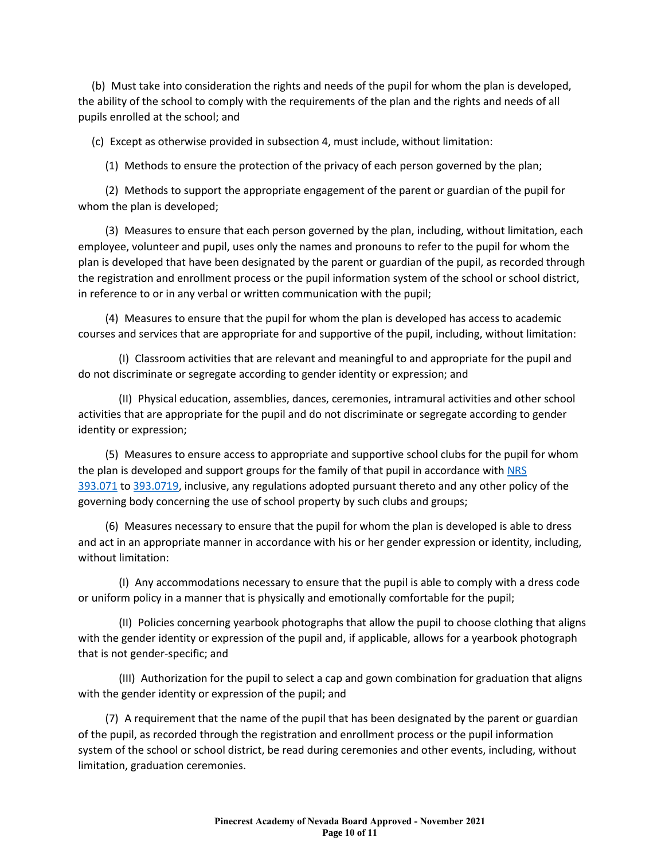(b) Must take into consideration the rights and needs of the pupil for whom the plan is developed, the ability of the school to comply with the requirements of the plan and the rights and needs of all pupils enrolled at the school; and

(c) Except as otherwise provided in subsection 4, must include, without limitation:

(1) Methods to ensure the protection of the privacy of each person governed by the plan;

(2) Methods to support the appropriate engagement of the parent or guardian of the pupil for whom the plan is developed;

(3) Measures to ensure that each person governed by the plan, including, without limitation, each employee, volunteer and pupil, uses only the names and pronouns to refer to the pupil for whom the plan is developed that have been designated by the parent or guardian of the pupil, as recorded through the registration and enrollment process or the pupil information system of the school or school district, in reference to or in any verbal or written communication with the pupil;

(4) Measures to ensure that the pupil for whom the plan is developed has access to academic courses and services that are appropriate for and supportive of the pupil, including, without limitation:

(I) Classroom activities that are relevant and meaningful to and appropriate for the pupil and do not discriminate or segregate according to gender identity or expression; and

(II) Physical education, assemblies, dances, ceremonies, intramural activities and other school activities that are appropriate for the pupil and do not discriminate or segregate according to gender identity or expression;

(5) Measures to ensure access to appropriate and supportive school clubs for the pupil for whom the plan is developed and support groups for the family of that pupil in accordance with NRS [393.071](https://www.leg.state.nv.us/NRS/NRS-393.html#NRS393Sec071) to [393.0719,](https://www.leg.state.nv.us/NRS/NRS-393.html#NRS393Sec0719) inclusive, any regulations adopted pursuant thereto and any other policy of the governing body concerning the use of school property by such clubs and groups;

(6) Measures necessary to ensure that the pupil for whom the plan is developed is able to dress and act in an appropriate manner in accordance with his or her gender expression or identity, including, without limitation:

(I) Any accommodations necessary to ensure that the pupil is able to comply with a dress code or uniform policy in a manner that is physically and emotionally comfortable for the pupil;

(II) Policies concerning yearbook photographs that allow the pupil to choose clothing that aligns with the gender identity or expression of the pupil and, if applicable, allows for a yearbook photograph that is not gender-specific; and

(III) Authorization for the pupil to select a cap and gown combination for graduation that aligns with the gender identity or expression of the pupil; and

(7) A requirement that the name of the pupil that has been designated by the parent or guardian of the pupil, as recorded through the registration and enrollment process or the pupil information system of the school or school district, be read during ceremonies and other events, including, without limitation, graduation ceremonies.